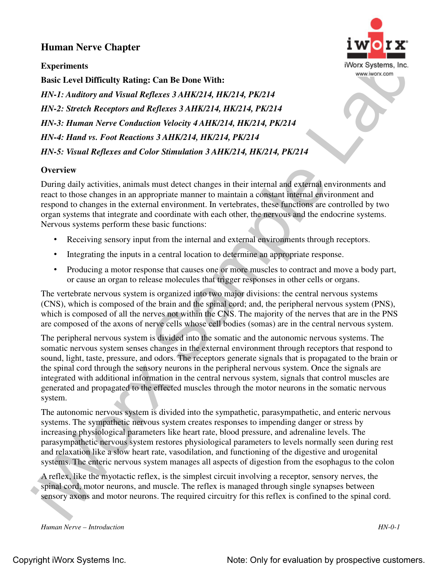## **Human Nerve Chapter**

**Experiments**



**Basic Level Difficulty Rating: Can Be Done With:** *HN-1: Auditory and Visual Reflexes 3 AHK/214, HK/214, PK/214 HN-2: Stretch Receptors and Reflexes 3 AHK/214, HK/214, PK/214 HN-3: Human Nerve Conduction Velocity 4 AHK/214, HK/214, PK/214 HN-4: Hand vs. Foot Reactions 3 AHK/214, HK/214, PK/214 HN-5: Visual Reflexes and Color Stimulation 3 AHK/214, HK/214, PK/214*

## **Overview**

During daily activities, animals must detect changes in their internal and external environments and react to those changes in an appropriate manner to maintain a constant internal environment and respond to changes in the external environment. In vertebrates, these functions are controlled by two organ systems that integrate and coordinate with each other, the nervous and the endocrine systems. Nervous systems perform these basic functions:

- Receiving sensory input from the internal and external environments through receptors.
- Integrating the inputs in a central location to determine an appropriate response.
- Producing a motor response that causes one or more muscles to contract and move a body part, or cause an organ to release molecules that trigger responses in other cells or organs.

The vertebrate nervous system is organized into two major divisions: the central nervous systems (CNS), which is composed of the brain and the spinal cord; and, the peripheral nervous system (PNS), which is composed of all the nerves not within the CNS. The majority of the nerves that are in the PNS are composed of the axons of nerve cells whose cell bodies (somas) are in the central nervous system.

Experiments<br>
Experiments<br>
Experiments<br>
Experiments<br>
Experiments<br>
Experiments<br>
Have Conditing Contribute Points (Fig. 2.6)<br>
Have Experiments<br>
HAV-12: Structh Receptors and Refleces 3 AHK/214, HK/214, FK/214<br>
HN-2: Structh The peripheral nervous system is divided into the somatic and the autonomic nervous systems. The somatic nervous system senses changes in the external environment through receptors that respond to sound, light, taste, pressure, and odors. The receptors generate signals that is propagated to the brain or the spinal cord through the sensory neurons in the peripheral nervous system. Once the signals are integrated with additional information in the central nervous system, signals that control muscles are generated and propagated to the effected muscles through the motor neurons in the somatic nervous system.

The autonomic nervous system is divided into the sympathetic, parasympathetic, and enteric nervous systems. The sympathetic nervous system creates responses to impending danger or stress by increasing physiological parameters like heart rate, blood pressure, and adrenaline levels. The parasympathetic nervous system restores physiological parameters to levels normally seen during rest and relaxation like a slow heart rate, vasodilation, and functioning of the digestive and urogenital systems. The enteric nervous system manages all aspects of digestion from the esophagus to the colon

A reflex, like the myotactic reflex, is the simplest circuit involving a receptor, sensory nerves, the spinal cord, motor neurons, and muscle. The reflex is managed through single synapses between sensory axons and motor neurons. The required circuitry for this reflex is confined to the spinal cord.

*Human Nerve – Introduction HN-0-1*